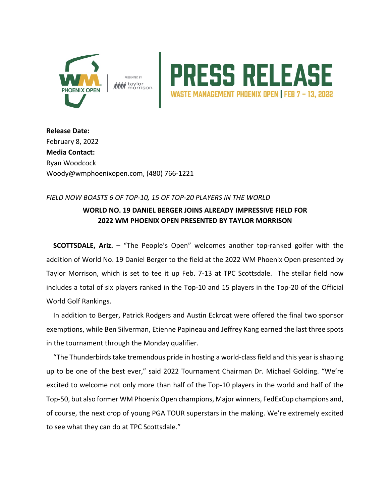



**Release Date:**  February 8, 2022 **Media Contact:**  Ryan Woodcock Woody@wmphoenixopen.com, (480) 766-1221

## *FIELD NOW BOASTS 6 OF TOP-10, 15 OF TOP-20 PLAYERS IN THE WORLD*

## **WORLD NO. 19 DANIEL BERGER JOINS ALREADY IMPRESSIVE FIELD FOR 2022 WM PHOENIX OPEN PRESENTED BY TAYLOR MORRISON**

**SCOTTSDALE, Ariz.** – "The People's Open" welcomes another top-ranked golfer with the addition of World No. 19 Daniel Berger to the field at the 2022 WM Phoenix Open presented by Taylor Morrison, which is set to tee it up Feb. 7-13 at TPC Scottsdale. The stellar field now includes a total of six players ranked in the Top-10 and 15 players in the Top-20 of the Official World Golf Rankings.

In addition to Berger, Patrick Rodgers and Austin Eckroat were offered the final two sponsor exemptions, while Ben Silverman, Etienne Papineau and Jeffrey Kang earned the last three spots in the tournament through the Monday qualifier.

"The Thunderbirds take tremendous pride in hosting a world-class field and this year is shaping up to be one of the best ever," said 2022 Tournament Chairman Dr. Michael Golding. "We're excited to welcome not only more than half of the Top-10 players in the world and half of the Top-50, but also former WM Phoenix Open champions, Major winners, FedExCup champions and, of course, the next crop of young PGA TOUR superstars in the making. We're extremely excited to see what they can do at TPC Scottsdale."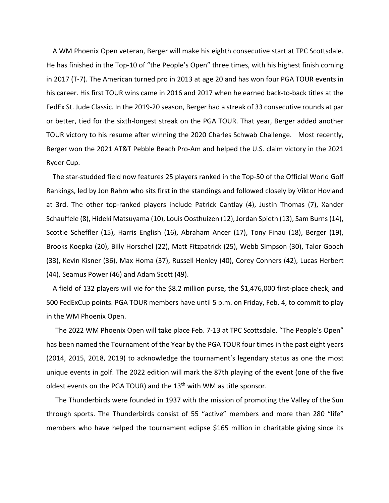A WM Phoenix Open veteran, Berger will make his eighth consecutive start at TPC Scottsdale. He has finished in the Top-10 of "the People's Open" three times, with his highest finish coming in 2017 (T-7). The American turned pro in 2013 at age 20 and has won four PGA TOUR events in his career. His first TOUR wins came in 2016 and 2017 when he earned back-to-back titles at the FedEx St. Jude Classic. In the 2019-20 season, Berger had a streak of 33 consecutive rounds at par or better, tied for the sixth-longest streak on the PGA TOUR. That year, Berger added another TOUR victory to his resume after winning the 2020 Charles Schwab Challenge. Most recently, Berger won the 2021 AT&T Pebble Beach Pro-Am and helped the U.S. claim victory in the 2021 Ryder Cup.

The star-studded field now features 25 players ranked in the Top-50 of the Official World Golf Rankings, led by Jon Rahm who sits first in the standings and followed closely by Viktor Hovland at 3rd. The other top-ranked players include Patrick Cantlay (4), Justin Thomas (7), Xander Schauffele (8), Hideki Matsuyama (10), Louis Oosthuizen (12), Jordan Spieth (13), Sam Burns (14), Scottie Scheffler (15), Harris English (16), Abraham Ancer (17), Tony Finau (18), Berger (19), Brooks Koepka (20), Billy Horschel (22), Matt Fitzpatrick (25), Webb Simpson (30), Talor Gooch (33), Kevin Kisner (36), Max Homa (37), Russell Henley (40), Corey Conners (42), Lucas Herbert (44), Seamus Power (46) and Adam Scott (49).

A field of 132 players will vie for the \$8.2 million purse, the \$1,476,000 first-place check, and 500 FedExCup points. PGA TOUR members have until 5 p.m. on Friday, Feb. 4, to commit to play in the WM Phoenix Open.

The 2022 WM Phoenix Open will take place Feb. 7-13 at TPC Scottsdale. "The People's Open" has been named the Tournament of the Year by the PGA TOUR four times in the past eight years (2014, 2015, 2018, 2019) to acknowledge the tournament's legendary status as one the most unique events in golf. The 2022 edition will mark the 87th playing of the event (one of the five oldest events on the PGA TOUR) and the  $13<sup>th</sup>$  with WM as title sponsor.

The Thunderbirds were founded in 1937 with the mission of promoting the Valley of the Sun through sports. The Thunderbirds consist of 55 "active" members and more than 280 "life" members who have helped the tournament eclipse \$165 million in charitable giving since its